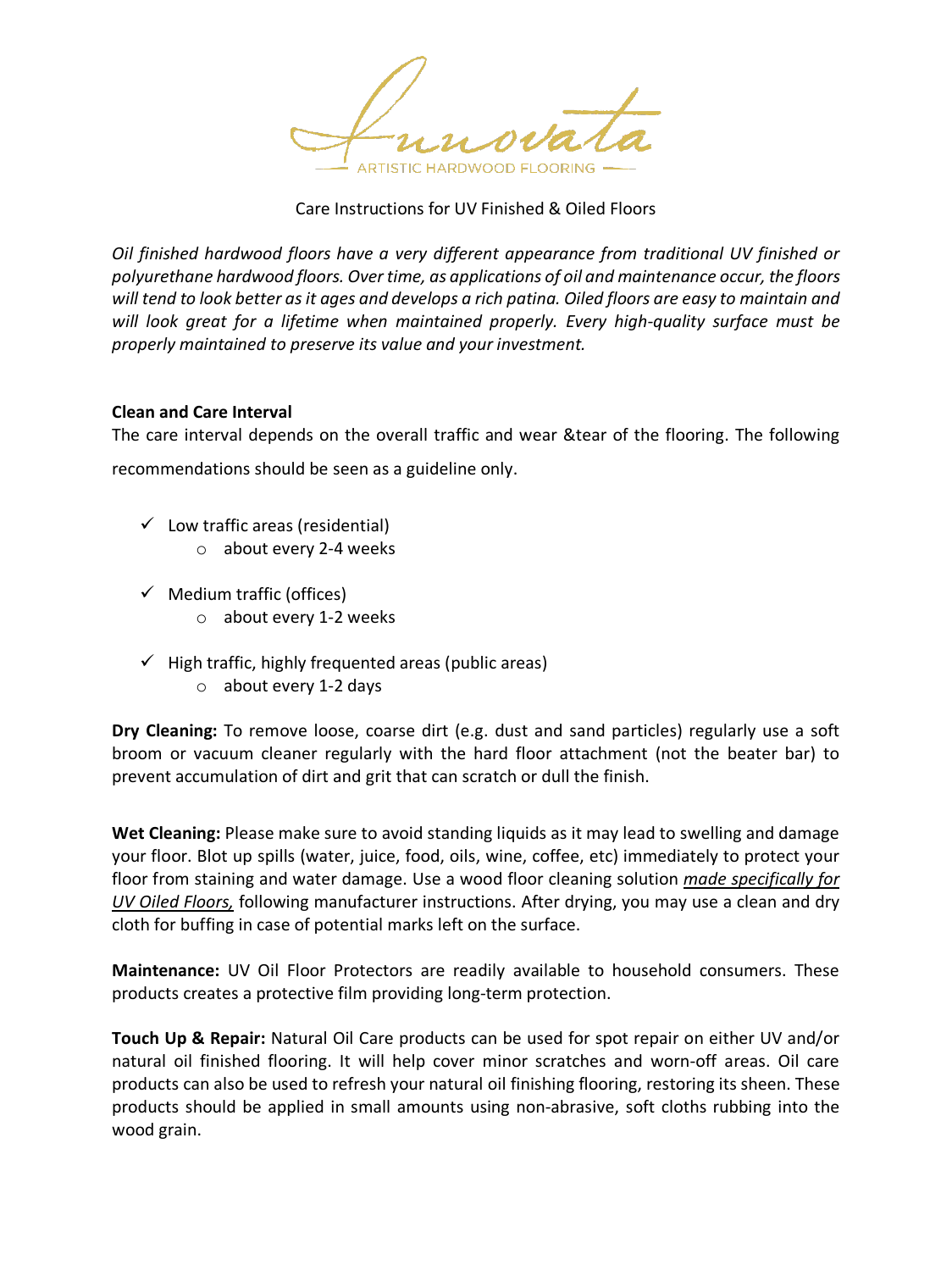

#### Care Instructions for UV Finished & Oiled Floors

*Oil finished hardwood floors have a very different appearance from traditional UV finished or polyurethane hardwood floors. Over time, as applications of oil and maintenance occur, the floors will tend to look better as it ages and develops a rich patina. Oiled floors are easy to maintain and will look great for a lifetime when maintained properly. Every high-quality surface must be properly maintained to preserve its value and your investment.*

#### **Clean and Care Interval**

The care interval depends on the overall traffic and wear &tear of the flooring. The following

recommendations should be seen as a guideline only.

- $\checkmark$  Low traffic areas (residential)
	- o about every 2-4 weeks
- $\checkmark$  Medium traffic (offices)
	- o about every 1-2 weeks
- $\checkmark$  High traffic, highly frequented areas (public areas)
	- o about every 1-2 days

**Dry Cleaning:** To remove loose, coarse dirt (e.g. dust and sand particles) regularly use a soft broom or vacuum cleaner regularly with the hard floor attachment (not the beater bar) to prevent accumulation of dirt and grit that can scratch or dull the finish.

**Wet Cleaning:** Please make sure to avoid standing liquids as it may lead to swelling and damage your floor. Blot up spills (water, juice, food, oils, wine, coffee, etc) immediately to protect your floor from staining and water damage. Use a wood floor cleaning solution *made specifically for UV Oiled Floors,* following manufacturer instructions. After drying, you may use a clean and dry cloth for buffing in case of potential marks left on the surface.

**Maintenance:** UV Oil Floor Protectors are readily available to household consumers. These products creates a protective film providing long-term protection.

**Touch Up & Repair:** Natural Oil Care products can be used for spot repair on either UV and/or natural oil finished flooring. It will help cover minor scratches and worn-off areas. Oil care products can also be used to refresh your natural oil finishing flooring, restoring its sheen. These products should be applied in small amounts using non-abrasive, soft cloths rubbing into the wood grain.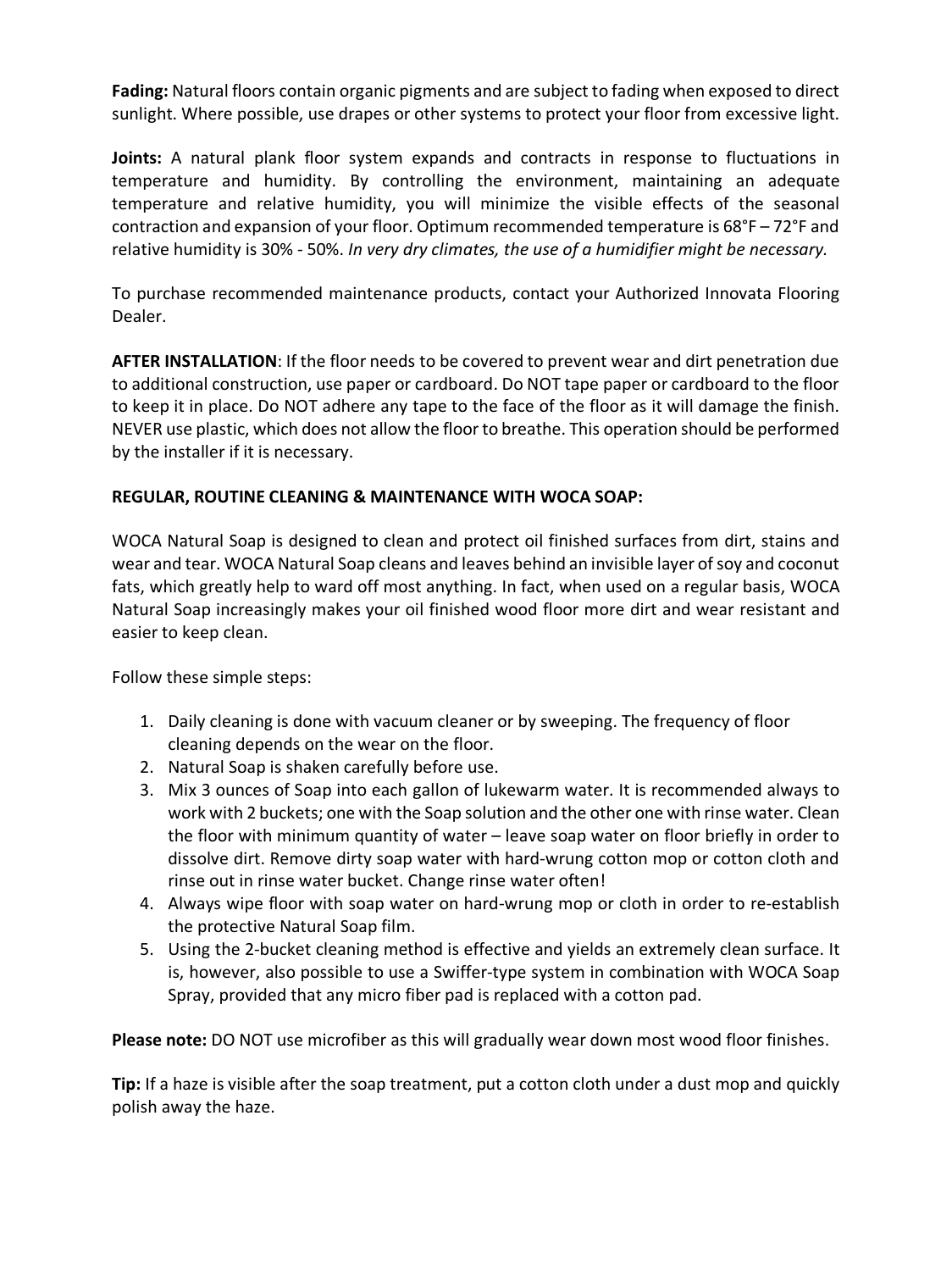**Fading:** Natural floors contain organic pigments and are subject to fading when exposed to direct sunlight. Where possible, use drapes or other systems to protect your floor from excessive light.

**Joints:** A natural plank floor system expands and contracts in response to fluctuations in temperature and humidity. By controlling the environment, maintaining an adequate temperature and relative humidity, you will minimize the visible effects of the seasonal contraction and expansion of your floor. Optimum recommended temperature is 68°F – 72°F and relative humidity is 30% - 50%. *In very dry climates, the use of a humidifier might be necessary.* 

To purchase recommended maintenance products, contact your Authorized Innovata Flooring Dealer.

**AFTER INSTALLATION**: If the floor needs to be covered to prevent wear and dirt penetration due to additional construction, use paper or cardboard. Do NOT tape paper or cardboard to the floor to keep it in place. Do NOT adhere any tape to the face of the floor as it will damage the finish. NEVER use plastic, which does not allow the floor to breathe. This operation should be performed by the installer if it is necessary.

# **REGULAR, ROUTINE CLEANING & MAINTENANCE WITH WOCA SOAP:**

WOCA Natural Soap is designed to clean and protect oil finished surfaces from dirt, stains and wear and tear. WOCA Natural Soap cleans and leaves behind an invisible layer of soy and coconut fats, which greatly help to ward off most anything. In fact, when used on a regular basis, WOCA Natural Soap increasingly makes your oil finished wood floor more dirt and wear resistant and easier to keep clean.

Follow these simple steps:

- 1. Daily cleaning is done with vacuum cleaner or by sweeping. The frequency of floor cleaning depends on the wear on the floor.
- 2. Natural Soap is shaken carefully before use.
- 3. Mix 3 ounces of Soap into each gallon of lukewarm water. It is recommended always to work with 2 buckets; one with the Soap solution and the other one with rinse water. Clean the floor with minimum quantity of water – leave soap water on floor briefly in order to dissolve dirt. Remove dirty soap water with hard-wrung cotton mop or cotton cloth and rinse out in rinse water bucket. Change rinse water often!
- 4. Always wipe floor with soap water on hard-wrung mop or cloth in order to re-establish the protective Natural Soap film.
- 5. Using the 2-bucket cleaning method is effective and yields an extremely clean surface. It is, however, also possible to use a Swiffer-type system in combination with WOCA Soap Spray, provided that any micro fiber pad is replaced with a cotton pad.

**Please note:** DO NOT use microfiber as this will gradually wear down most wood floor finishes.

**Tip:** If a haze is visible after the soap treatment, put a cotton cloth under a dust mop and quickly polish away the haze.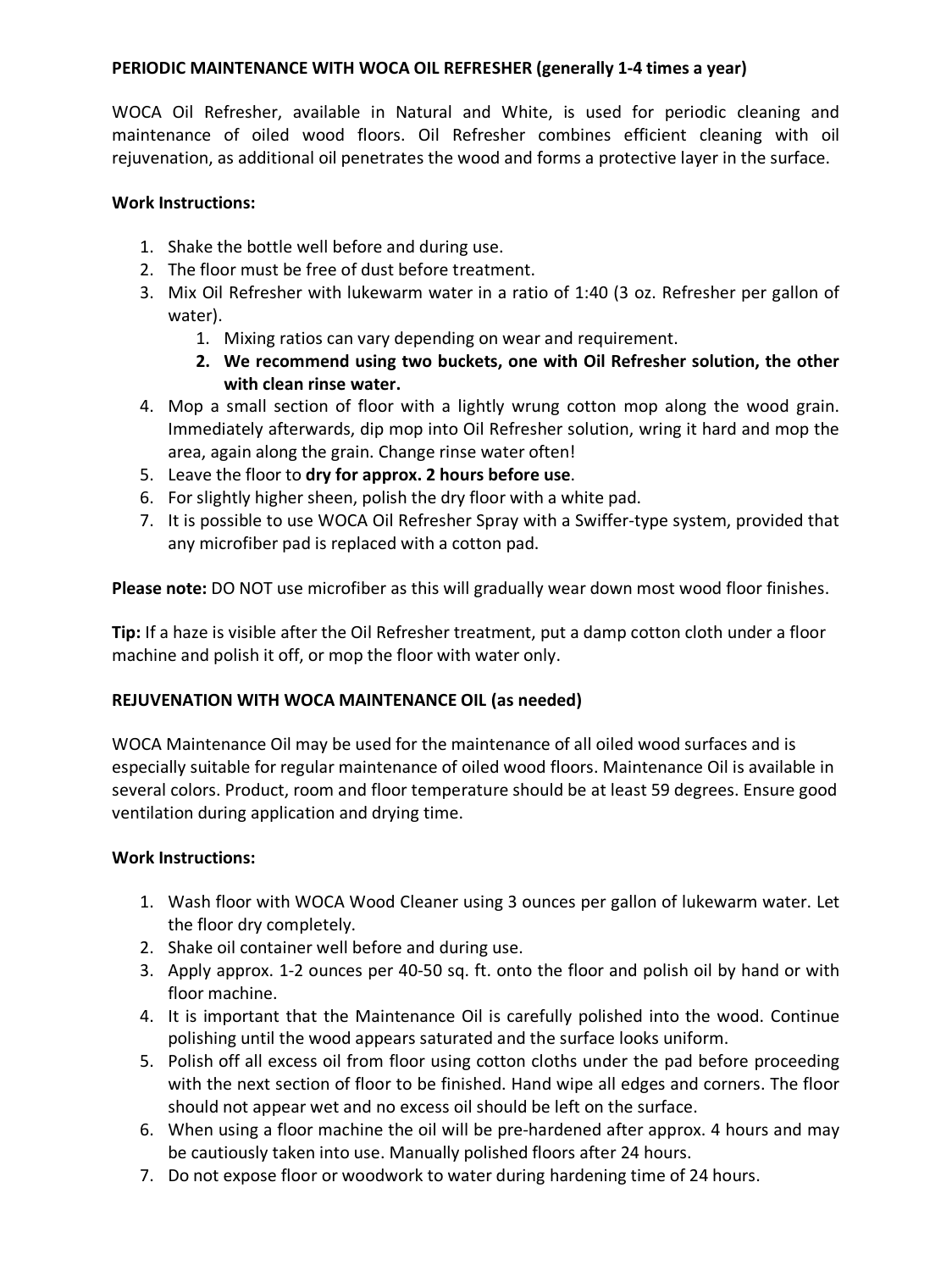# **PERIODIC MAINTENANCE WITH WOCA OIL REFRESHER (generally 1-4 times a year)**

WOCA Oil Refresher, available in Natural and White, is used for periodic cleaning and maintenance of oiled wood floors. Oil Refresher combines efficient cleaning with oil rejuvenation, as additional oil penetrates the wood and forms a protective layer in the surface.

#### **Work Instructions:**

- 1. Shake the bottle well before and during use.
- 2. The floor must be free of dust before treatment.
- 3. Mix Oil Refresher with lukewarm water in a ratio of 1:40 (3 oz. Refresher per gallon of water).
	- 1. Mixing ratios can vary depending on wear and requirement.
	- **2. We recommend using two buckets, one with Oil Refresher solution, the other with clean rinse water.**
- 4. Mop a small section of floor with a lightly wrung cotton mop along the wood grain. Immediately afterwards, dip mop into Oil Refresher solution, wring it hard and mop the area, again along the grain. Change rinse water often!
- 5. Leave the floor to **dry for approx. 2 hours before use**.
- 6. For slightly higher sheen, polish the dry floor with a white pad.
- 7. It is possible to use WOCA Oil Refresher Spray with a Swiffer-type system, provided that any microfiber pad is replaced with a cotton pad.

**Please note:** DO NOT use microfiber as this will gradually wear down most wood floor finishes.

**Tip:** If a haze is visible after the Oil Refresher treatment, put a damp cotton cloth under a floor machine and polish it off, or mop the floor with water only.

# **REJUVENATION WITH WOCA MAINTENANCE OIL (as needed)**

WOCA Maintenance Oil may be used for the maintenance of all oiled wood surfaces and is especially suitable for regular maintenance of oiled wood floors. Maintenance Oil is available in several colors. Product, room and floor temperature should be at least 59 degrees. Ensure good ventilation during application and drying time.

# **Work Instructions:**

- 1. Wash floor with WOCA Wood Cleaner using 3 ounces per gallon of lukewarm water. Let the floor dry completely.
- 2. Shake oil container well before and during use.
- 3. Apply approx. 1-2 ounces per 40-50 sq. ft. onto the floor and polish oil by hand or with floor machine.
- 4. It is important that the Maintenance Oil is carefully polished into the wood. Continue polishing until the wood appears saturated and the surface looks uniform.
- 5. Polish off all excess oil from floor using cotton cloths under the pad before proceeding with the next section of floor to be finished. Hand wipe all edges and corners. The floor should not appear wet and no excess oil should be left on the surface.
- 6. When using a floor machine the oil will be pre-hardened after approx. 4 hours and may be cautiously taken into use. Manually polished floors after 24 hours.
- 7. Do not expose floor or woodwork to water during hardening time of 24 hours.